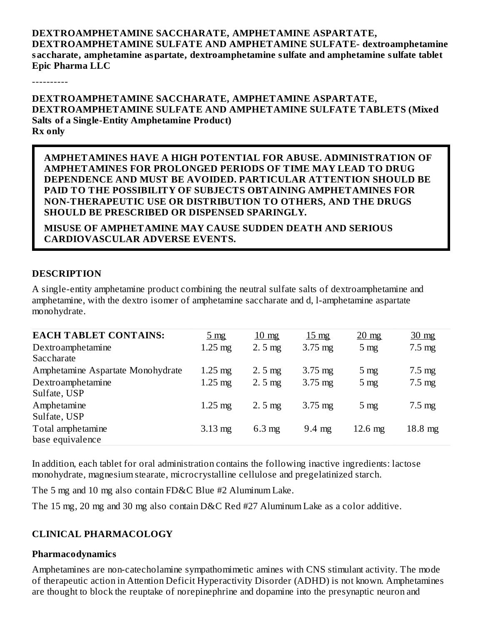#### **DEXTROAMPHETAMINE SACCHARATE, AMPHETAMINE ASPARTATE, DEXTROAMPHETAMINE SULFATE AND AMPHETAMINE SULFATE- dextroamphetamine saccharate, amphetamine aspartate, dextroamphetamine sulfate and amphetamine sulfate tablet Epic Pharma LLC**

----------

**DEXTROAMPHETAMINE SACCHARATE, AMPHETAMINE ASPARTATE, DEXTROAMPHETAMINE SULFATE AND AMPHETAMINE SULFATE TABLETS (Mixed Salts of a Single-Entity Amphetamine Product) Rx only**

**AMPHETAMINES HAVE A HIGH POTENTIAL FOR ABUSE. ADMINISTRATION OF AMPHETAMINES FOR PROLONGED PERIODS OF TIME MAY LEAD TO DRUG DEPENDENCE AND MUST BE AVOIDED. PARTICULAR ATTENTION SHOULD BE PAID TO THE POSSIBILITY OF SUBJECTS OBTAINING AMPHETAMINES FOR NON-THERAPEUTIC USE OR DISTRIBUTION TO OTHERS, AND THE DRUGS SHOULD BE PRESCRIBED OR DISPENSED SPARINGLY.**

**MISUSE OF AMPHETAMINE MAY CAUSE SUDDEN DEATH AND SERIOUS CARDIOVASCULAR ADVERSE EVENTS.**

#### **DESCRIPTION**

A single-entity amphetamine product combining the neutral sulfate salts of dextroamphetamine and amphetamine, with the dextro isomer of amphetamine saccharate and d, l-amphetamine aspartate monohydrate.

| <b>EACH TABLET CONTAINS:</b>      | $5 \text{ mg}$    | $10 \text{ mg}$  | $15 \text{ mg}$   | $20 \text{ mg}$ | $30 \text{ mg}$   |
|-----------------------------------|-------------------|------------------|-------------------|-----------------|-------------------|
| Dextroamphetamine                 | $1.25 \text{ mg}$ | $2.5$ mg         | $3.75$ mg         | $5 \text{ mg}$  | $7.5 \text{ mg}$  |
| Saccharate                        |                   |                  |                   |                 |                   |
| Amphetamine Aspartate Monohydrate | $1.25 \text{ mg}$ | $2.5$ mg         | $3.75 \text{ mg}$ | $5 \text{ mg}$  | $7.5 \text{ mg}$  |
| Dextroamphetamine                 | $1.25$ mg         | $2.5$ mg         | $3.75$ mg         | $5 \text{ mg}$  | $7.5 \text{ mg}$  |
| Sulfate, USP                      |                   |                  |                   |                 |                   |
| Amphetamine                       | $1.25 \text{ mg}$ | $2.5$ mg         | $3.75$ mg         | $5 \text{ mg}$  | $7.5 \text{ mg}$  |
| Sulfate, USP                      |                   |                  |                   |                 |                   |
| Total amphetamine                 | $3.13 \text{ mg}$ | $6.3 \text{ mg}$ | $9.4 \text{ mg}$  | $12.6$ mg       | $18.8 \text{ mg}$ |
| base equivalence                  |                   |                  |                   |                 |                   |

In addition, each tablet for oral administration contains the following inactive ingredients: lactose monohydrate, magnesium stearate, microcrystalline cellulose and pregelatinized starch.

The 5 mg and 10 mg also contain FD&C Blue #2 Aluminum Lake.

The 15 mg, 20 mg and 30 mg also contain D&C Red #27 Aluminum Lake as a color additive.

### **CLINICAL PHARMACOLOGY**

#### **Pharmacodynamics**

Amphetamines are non-catecholamine sympathomimetic amines with CNS stimulant activity. The mode of therapeutic action in Attention Deficit Hyperactivity Disorder (ADHD) is not known. Amphetamines are thought to block the reuptake of norepinephrine and dopamine into the presynaptic neuron and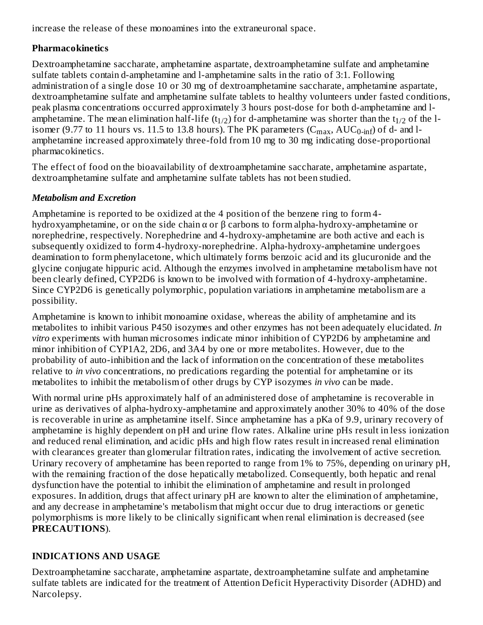increase the release of these monoamines into the extraneuronal space.

# **Pharmacokinetics**

Dextroamphetamine saccharate, amphetamine aspartate, dextroamphetamine sulfate and amphetamine sulfate tablets contain d-amphetamine and l-amphetamine salts in the ratio of 3:1. Following administration of a single dose 10 or 30 mg of dextroamphetamine saccharate, amphetamine aspartate, dextroamphetamine sulfate and amphetamine sulfate tablets to healthy volunteers under fasted conditions, peak plasma concentrations occurred approximately 3 hours post-dose for both d-amphetamine and lamphetamine. The mean elimination half-life (t<sub>1/2</sub>) for d-amphetamine was shorter than the t<sub>1/2</sub> of the lisomer (9.77 to 11 hours vs. 11.5 to 13.8 hours). The PK parameters ( $\rm{C_{max}}$ ,  $\rm{AUC_{0\text{-inf}}}$ ) of d- and lamphetamine increased approximately three-fold from 10 mg to 30 mg indicating dose-proportional pharmacokinetics.

The effect of food on the bioavailability of dextroamphetamine saccharate, amphetamine aspartate, dextroamphetamine sulfate and amphetamine sulfate tablets has not been studied.

# *Metabolism and Excretion*

Amphetamine is reported to be oxidized at the 4 position of the benzene ring to form 4 hydroxyamphetamine, or on the side chain α or β carbons to form alpha-hydroxy-amphetamine or norephedrine, respectively. Norephedrine and 4-hydroxy-amphetamine are both active and each is subsequently oxidized to form 4-hydroxy-norephedrine. Alpha-hydroxy-amphetamine undergoes deamination to form phenylacetone, which ultimately forms benzoic acid and its glucuronide and the glycine conjugate hippuric acid. Although the enzymes involved in amphetamine metabolism have not been clearly defined, CYP2D6 is known to be involved with formation of 4-hydroxy-amphetamine. Since CYP2D6 is genetically polymorphic, population variations in amphetamine metabolism are a possibility.

Amphetamine is known to inhibit monoamine oxidase, whereas the ability of amphetamine and its metabolites to inhibit various P450 isozymes and other enzymes has not been adequately elucidated. *In vitro* experiments with human microsomes indicate minor inhibition of CYP2D6 by amphetamine and minor inhibition of CYP1A2, 2D6, and 3A4 by one or more metabolites. However, due to the probability of auto-inhibition and the lack of information on the concentration of these metabolites relative to *in vivo* concentrations, no predications regarding the potential for amphetamine or its metabolites to inhibit the metabolism of other drugs by CYP isozymes *in vivo* can be made.

With normal urine pHs approximately half of an administered dose of amphetamine is recoverable in urine as derivatives of alpha-hydroxy-amphetamine and approximately another 30% to 40% of the dose is recoverable in urine as amphetamine itself. Since amphetamine has a pKa of 9.9, urinary recovery of amphetamine is highly dependent on pH and urine flow rates. Alkaline urine pHs result in less ionization and reduced renal elimination, and acidic pHs and high flow rates result in increased renal elimination with clearances greater than glomerular filtration rates, indicating the involvement of active secretion. Urinary recovery of amphetamine has been reported to range from 1% to 75%, depending on urinary pH, with the remaining fraction of the dose hepatically metabolized. Consequently, both hepatic and renal dysfunction have the potential to inhibit the elimination of amphetamine and result in prolonged exposures. In addition, drugs that affect urinary pH are known to alter the elimination of amphetamine, and any decrease in amphetamine's metabolism that might occur due to drug interactions or genetic polymorphisms is more likely to be clinically significant when renal elimination is decreased (see **PRECAUTIONS**).

# **INDICATIONS AND USAGE**

Dextroamphetamine saccharate, amphetamine aspartate, dextroamphetamine sulfate and amphetamine sulfate tablets are indicated for the treatment of Attention Deficit Hyperactivity Disorder (ADHD) and Narcolepsy.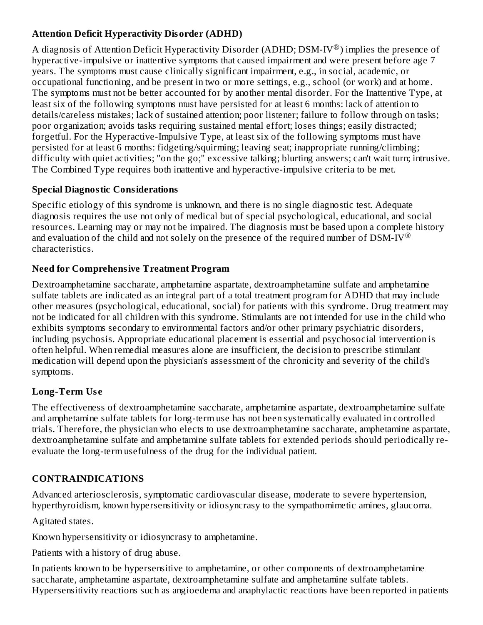## **Attention Deficit Hyperactivity Disorder (ADHD)**

A diagnosis of Attention Deficit Hyperactivity Disorder (ADHD; DSM-IV $^{\circledR}$ ) implies the presence of hyperactive-impulsive or inattentive symptoms that caused impairment and were present before age 7 years. The symptoms must cause clinically significant impairment, e.g., in social, academic, or occupational functioning, and be present in two or more settings, e.g., school (or work) and at home. The symptoms must not be better accounted for by another mental disorder. For the Inattentive Type, at least six of the following symptoms must have persisted for at least 6 months: lack of attention to details/careless mistakes; lack of sustained attention; poor listener; failure to follow through on tasks; poor organization; avoids tasks requiring sustained mental effort; loses things; easily distracted; forgetful. For the Hyperactive-Impulsive Type, at least six of the following symptoms must have persisted for at least 6 months: fidgeting/squirming; leaving seat; inappropriate running/climbing; difficulty with quiet activities; "on the go;" excessive talking; blurting answers; can't wait turn; intrusive. The Combined Type requires both inattentive and hyperactive-impulsive criteria to be met.

## **Special Diagnostic Considerations**

Specific etiology of this syndrome is unknown, and there is no single diagnostic test. Adequate diagnosis requires the use not only of medical but of special psychological, educational, and social resources. Learning may or may not be impaired. The diagnosis must be based upon a complete history and evaluation of the child and not solely on the presence of the required number of  $\text{DSM-IV}^{\circledR}$ characteristics.

## **Need for Comprehensive Treatment Program**

Dextroamphetamine saccharate, amphetamine aspartate, dextroamphetamine sulfate and amphetamine sulfate tablets are indicated as an integral part of a total treatment program for ADHD that may include other measures (psychological, educational, social) for patients with this syndrome. Drug treatment may not be indicated for all children with this syndrome. Stimulants are not intended for use in the child who exhibits symptoms secondary to environmental factors and/or other primary psychiatric disorders, including psychosis. Appropriate educational placement is essential and psychosocial intervention is often helpful. When remedial measures alone are insufficient, the decision to prescribe stimulant medication will depend upon the physician's assessment of the chronicity and severity of the child's symptoms.

# **Long-Term Us e**

The effectiveness of dextroamphetamine saccharate, amphetamine aspartate, dextroamphetamine sulfate and amphetamine sulfate tablets for long-term use has not been systematically evaluated in controlled trials. Therefore, the physician who elects to use dextroamphetamine saccharate, amphetamine aspartate, dextroamphetamine sulfate and amphetamine sulfate tablets for extended periods should periodically reevaluate the long-term usefulness of the drug for the individual patient.

# **CONTRAINDICATIONS**

Advanced arteriosclerosis, symptomatic cardiovascular disease, moderate to severe hypertension, hyperthyroidism, known hypersensitivity or idiosyncrasy to the sympathomimetic amines, glaucoma.

Agitated states.

Known hypersensitivity or idiosyncrasy to amphetamine.

Patients with a history of drug abuse.

In patients known to be hypersensitive to amphetamine, or other components of dextroamphetamine saccharate, amphetamine aspartate, dextroamphetamine sulfate and amphetamine sulfate tablets. Hypersensitivity reactions such as angioedema and anaphylactic reactions have been reported in patients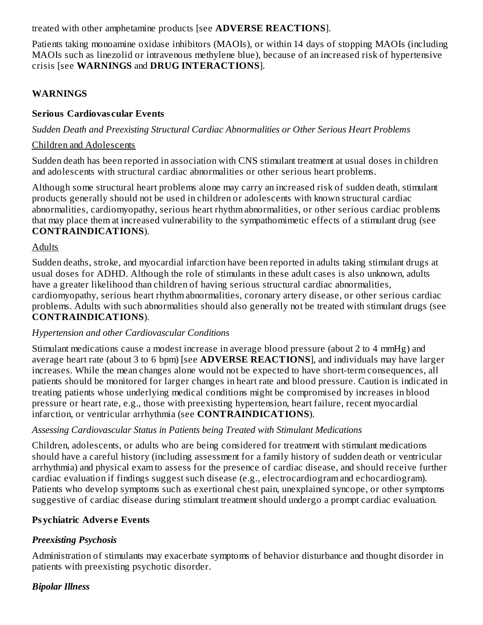treated with other amphetamine products [see **ADVERSE REACTIONS**].

Patients taking monoamine oxidase inhibitors (MAOIs), or within 14 days of stopping MAOIs (including MAOIs such as linezolid or intravenous methylene blue), because of an increased risk of hypertensive crisis [see **WARNINGS** and **DRUG INTERACTIONS**].

## **WARNINGS**

### **Serious Cardiovas cular Events**

*Sudden Death and Preexisting Structural Cardiac Abnormalities or Other Serious Heart Problems*

### Children and Adolescents

Sudden death has been reported in association with CNS stimulant treatment at usual doses in children and adolescents with structural cardiac abnormalities or other serious heart problems.

Although some structural heart problems alone may carry an increased risk of sudden death, stimulant products generally should not be used in children or adolescents with known structural cardiac abnormalities, cardiomyopathy, serious heart rhythm abnormalities, or other serious cardiac problems that may place them at increased vulnerability to the sympathomimetic effects of a stimulant drug (see **CONTRAINDICATIONS**).

### Adults

Sudden deaths, stroke, and myocardial infarction have been reported in adults taking stimulant drugs at usual doses for ADHD. Although the role of stimulants in these adult cases is also unknown, adults have a greater likelihood than children of having serious structural cardiac abnormalities, cardiomyopathy, serious heart rhythm abnormalities, coronary artery disease, or other serious cardiac problems. Adults with such abnormalities should also generally not be treated with stimulant drugs (see **CONTRAINDICATIONS**).

## *Hypertension and other Cardiovascular Conditions*

Stimulant medications cause a modest increase in average blood pressure (about 2 to 4 mmHg) and average heart rate (about 3 to 6 bpm) [see **ADVERSE REACTIONS**], and individuals may have larger increases. While the mean changes alone would not be expected to have short-term consequences, all patients should be monitored for larger changes in heart rate and blood pressure. Caution is indicated in treating patients whose underlying medical conditions might be compromised by increases in blood pressure or heart rate, e.g., those with preexisting hypertension, heart failure, recent myocardial infarction, or ventricular arrhythmia (see **CONTRAINDICATIONS**).

## *Assessing Cardiovascular Status in Patients being Treated with Stimulant Medications*

Children, adolescents, or adults who are being considered for treatment with stimulant medications should have a careful history (including assessment for a family history of sudden death or ventricular arrhythmia) and physical exam to assess for the presence of cardiac disease, and should receive further cardiac evaluation if findings suggest such disease (e.g., electrocardiogram and echocardiogram). Patients who develop symptoms such as exertional chest pain, unexplained syncope, or other symptoms suggestive of cardiac disease during stimulant treatment should undergo a prompt cardiac evaluation.

## **Psychiatric Advers e Events**

## *Preexisting Psychosis*

Administration of stimulants may exacerbate symptoms of behavior disturbance and thought disorder in patients with preexisting psychotic disorder.

## *Bipolar Illness*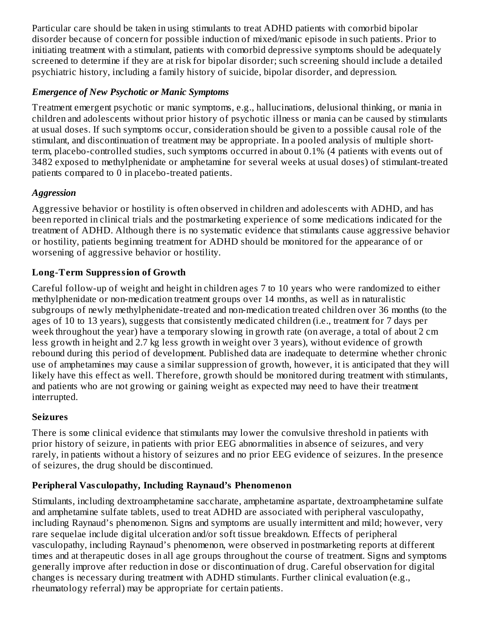Particular care should be taken in using stimulants to treat ADHD patients with comorbid bipolar disorder because of concern for possible induction of mixed/manic episode in such patients. Prior to initiating treatment with a stimulant, patients with comorbid depressive symptoms should be adequately screened to determine if they are at risk for bipolar disorder; such screening should include a detailed psychiatric history, including a family history of suicide, bipolar disorder, and depression.

### *Emergence of New Psychotic or Manic Symptoms*

Treatment emergent psychotic or manic symptoms, e.g., hallucinations, delusional thinking, or mania in children and adolescents without prior history of psychotic illness or mania can be caused by stimulants at usual doses. If such symptoms occur, consideration should be given to a possible causal role of the stimulant, and discontinuation of treatment may be appropriate. In a pooled analysis of multiple shortterm, placebo-controlled studies, such symptoms occurred in about 0.1% (4 patients with events out of 3482 exposed to methylphenidate or amphetamine for several weeks at usual doses) of stimulant-treated patients compared to 0 in placebo-treated patients.

## *Aggression*

Aggressive behavior or hostility is often observed in children and adolescents with ADHD, and has been reported in clinical trials and the postmarketing experience of some medications indicated for the treatment of ADHD. Although there is no systematic evidence that stimulants cause aggressive behavior or hostility, patients beginning treatment for ADHD should be monitored for the appearance of or worsening of aggressive behavior or hostility.

# **Long-Term Suppression of Growth**

Careful follow-up of weight and height in children ages 7 to 10 years who were randomized to either methylphenidate or non-medication treatment groups over 14 months, as well as in naturalistic subgroups of newly methylphenidate-treated and non-medication treated children over 36 months (to the ages of 10 to 13 years), suggests that consistently medicated children (i.e., treatment for 7 days per week throughout the year) have a temporary slowing in growth rate (on average, a total of about 2 cm less growth in height and 2.7 kg less growth in weight over 3 years), without evidence of growth rebound during this period of development. Published data are inadequate to determine whether chronic use of amphetamines may cause a similar suppression of growth, however, it is anticipated that they will likely have this effect as well. Therefore, growth should be monitored during treatment with stimulants, and patients who are not growing or gaining weight as expected may need to have their treatment interrupted.

## **Seizures**

There is some clinical evidence that stimulants may lower the convulsive threshold in patients with prior history of seizure, in patients with prior EEG abnormalities in absence of seizures, and very rarely, in patients without a history of seizures and no prior EEG evidence of seizures. In the presence of seizures, the drug should be discontinued.

# **Peripheral Vas culopathy, Including Raynaud's Phenomenon**

Stimulants, including dextroamphetamine saccharate, amphetamine aspartate, dextroamphetamine sulfate and amphetamine sulfate tablets, used to treat ADHD are associated with peripheral vasculopathy, including Raynaud's phenomenon. Signs and symptoms are usually intermittent and mild; however, very rare sequelae include digital ulceration and/or soft tissue breakdown. Effects of peripheral vasculopathy, including Raynaud's phenomenon, were observed in postmarketing reports at different times and at therapeutic doses in all age groups throughout the course of treatment. Signs and symptoms generally improve after reduction in dose or discontinuation of drug. Careful observation for digital changes is necessary during treatment with ADHD stimulants. Further clinical evaluation (e.g., rheumatology referral) may be appropriate for certain patients.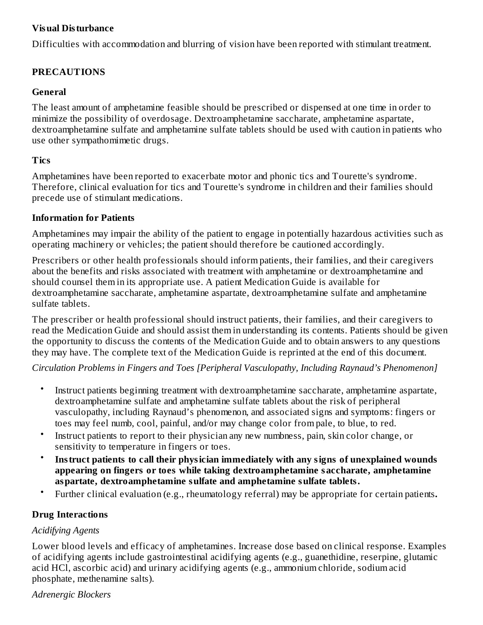### **Visual Disturbance**

Difficulties with accommodation and blurring of vision have been reported with stimulant treatment.

### **PRECAUTIONS**

#### **General**

The least amount of amphetamine feasible should be prescribed or dispensed at one time in order to minimize the possibility of overdosage. Dextroamphetamine saccharate, amphetamine aspartate, dextroamphetamine sulfate and amphetamine sulfate tablets should be used with caution in patients who use other sympathomimetic drugs.

### **Tics**

Amphetamines have been reported to exacerbate motor and phonic tics and Tourette's syndrome. Therefore, clinical evaluation for tics and Tourette's syndrome in children and their families should precede use of stimulant medications.

#### **Information for Patients**

Amphetamines may impair the ability of the patient to engage in potentially hazardous activities such as operating machinery or vehicles; the patient should therefore be cautioned accordingly.

Prescribers or other health professionals should inform patients, their families, and their caregivers about the benefits and risks associated with treatment with amphetamine or dextroamphetamine and should counsel them in its appropriate use. A patient Medication Guide is available for dextroamphetamine saccharate, amphetamine aspartate, dextroamphetamine sulfate and amphetamine sulfate tablets.

The prescriber or health professional should instruct patients, their families, and their caregivers to read the Medication Guide and should assist them in understanding its contents. Patients should be given the opportunity to discuss the contents of the Medication Guide and to obtain answers to any questions they may have. The complete text of the Medication Guide is reprinted at the end of this document.

*Circulation Problems in Fingers and Toes [Peripheral Vasculopathy, Including Raynaud's Phenomenon]*

- Instruct patients beginning treatment with dextroamphetamine saccharate, amphetamine aspartate, dextroamphetamine sulfate and amphetamine sulfate tablets about the risk of peripheral vasculopathy, including Raynaud's phenomenon, and associated signs and symptoms: fingers or toes may feel numb, cool, painful, and/or may change color from pale, to blue, to red.
- Instruct patients to report to their physician any new numbness, pain, skin color change, or sensitivity to temperature in fingers or toes.
- **Instruct patients to call their physician immediately with any signs of unexplained wounds appearing on fingers or toes while taking dextroamphetamine saccharate, amphetamine aspartate, dextroamphetamine sulfate and amphetamine sulfate tablets.**
- Further clinical evaluation (e.g., rheumatology referral) may be appropriate for certain patients**.**

## **Drug Interactions**

### *Acidifying Agents*

Lower blood levels and efficacy of amphetamines. Increase dose based on clinical response. Examples of acidifying agents include gastrointestinal acidifying agents (e.g., guanethidine, reserpine, glutamic acid HCl, ascorbic acid) and urinary acidifying agents (e.g., ammonium chloride, sodium acid phosphate, methenamine salts).

*Adrenergic Blockers*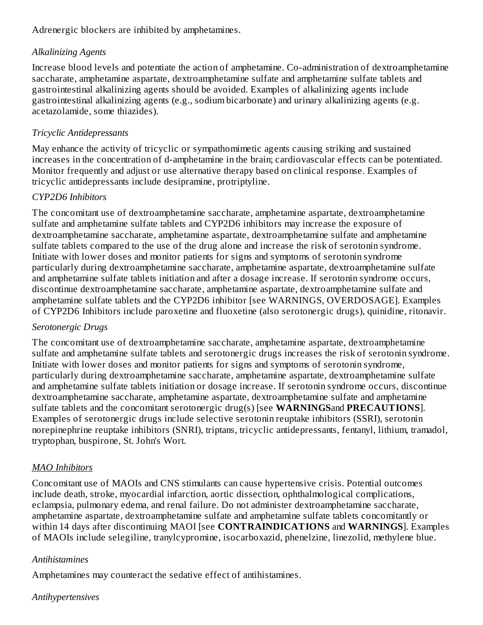Adrenergic blockers are inhibited by amphetamines.

### *Alkalinizing Agents*

Increase blood levels and potentiate the action of amphetamine. Co-administration of dextroamphetamine saccharate, amphetamine aspartate, dextroamphetamine sulfate and amphetamine sulfate tablets and gastrointestinal alkalinizing agents should be avoided. Examples of alkalinizing agents include gastrointestinal alkalinizing agents (e.g., sodium bicarbonate) and urinary alkalinizing agents (e.g. acetazolamide, some thiazides).

### *Tricyclic Antidepressants*

May enhance the activity of tricyclic or sympathomimetic agents causing striking and sustained increases in the concentration of d-amphetamine in the brain; cardiovascular effects can be potentiated. Monitor frequently and adjust or use alternative therapy based on clinical response. Examples of tricyclic antidepressants include desipramine, protriptyline.

### *CYP2D6 Inhibitors*

The concomitant use of dextroamphetamine saccharate, amphetamine aspartate, dextroamphetamine sulfate and amphetamine sulfate tablets and CYP2D6 inhibitors may increase the exposure of dextroamphetamine saccharate, amphetamine aspartate, dextroamphetamine sulfate and amphetamine sulfate tablets compared to the use of the drug alone and increase the risk of serotonin syndrome. Initiate with lower doses and monitor patients for signs and symptoms of serotonin syndrome particularly during dextroamphetamine saccharate, amphetamine aspartate, dextroamphetamine sulfate and amphetamine sulfate tablets initiation and after a dosage increase. If serotonin syndrome occurs, discontinue dextroamphetamine saccharate, amphetamine aspartate, dextroamphetamine sulfate and amphetamine sulfate tablets and the CYP2D6 inhibitor [see WARNINGS, OVERDOSAGE]. Examples of CYP2D6 Inhibitors include paroxetine and fluoxetine (also serotonergic drugs), quinidine, ritonavir.

### *Serotonergic Drugs*

The concomitant use of dextroamphetamine saccharate, amphetamine aspartate, dextroamphetamine sulfate and amphetamine sulfate tablets and serotonergic drugs increases the risk of serotonin syndrome. Initiate with lower doses and monitor patients for signs and symptoms of serotonin syndrome, particularly during dextroamphetamine saccharate, amphetamine aspartate, dextroamphetamine sulfate and amphetamine sulfate tablets initiation or dosage increase. If serotonin syndrome occurs, discontinue dextroamphetamine saccharate, amphetamine aspartate, dextroamphetamine sulfate and amphetamine sulfate tablets and the concomitant serotonergic drug(s) [see **WARNINGS**and **PRECAUTIONS**]. Examples of serotonergic drugs include selective serotonin reuptake inhibitors (SSRI), serotonin norepinephrine reuptake inhibitors (SNRI), triptans, tricyclic antidepressants, fentanyl, lithium, tramadol, tryptophan, buspirone, St. John's Wort.

## *MAO Inhibitors*

Concomitant use of MAOIs and CNS stimulants can cause hypertensive crisis. Potential outcomes include death, stroke, myocardial infarction, aortic dissection, ophthalmological complications, eclampsia, pulmonary edema, and renal failure. Do not administer dextroamphetamine saccharate, amphetamine aspartate, dextroamphetamine sulfate and amphetamine sulfate tablets concomitantly or within 14 days after discontinuing MAOI [see **CONTRAINDICATIONS** and **WARNINGS**]. Examples of MAOIs include selegiline, tranylcypromine, isocarboxazid, phenelzine, linezolid, methylene blue.

### *Antihistamines*

Amphetamines may counteract the sedative effect of antihistamines.

### *Antihypertensives*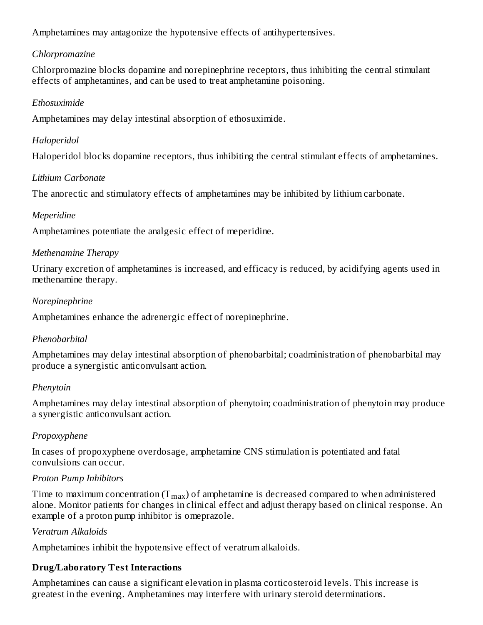Amphetamines may antagonize the hypotensive effects of antihypertensives.

## *Chlorpromazine*

Chlorpromazine blocks dopamine and norepinephrine receptors, thus inhibiting the central stimulant effects of amphetamines, and can be used to treat amphetamine poisoning.

### *Ethosuximide*

Amphetamines may delay intestinal absorption of ethosuximide.

#### *Haloperidol*

Haloperidol blocks dopamine receptors, thus inhibiting the central stimulant effects of amphetamines.

#### *Lithium Carbonate*

The anorectic and stimulatory effects of amphetamines may be inhibited by lithium carbonate.

#### *Meperidine*

Amphetamines potentiate the analgesic effect of meperidine.

#### *Methenamine Therapy*

Urinary excretion of amphetamines is increased, and efficacy is reduced, by acidifying agents used in methenamine therapy.

#### *Norepinephrine*

Amphetamines enhance the adrenergic effect of norepinephrine.

### *Phenobarbital*

Amphetamines may delay intestinal absorption of phenobarbital; coadministration of phenobarbital may produce a synergistic anticonvulsant action.

#### *Phenytoin*

Amphetamines may delay intestinal absorption of phenytoin; coadministration of phenytoin may produce a synergistic anticonvulsant action.

### *Propoxyphene*

In cases of propoxyphene overdosage, amphetamine CNS stimulation is potentiated and fatal convulsions can occur.

### *Proton Pump Inhibitors*

Time to maximum concentration (T $_{\rm max}$ ) of amphetamine is decreased compared to when administered alone. Monitor patients for changes in clinical effect and adjust therapy based on clinical response. An example of a proton pump inhibitor is omeprazole.

#### *Veratrum Alkaloids*

Amphetamines inhibit the hypotensive effect of veratrum alkaloids.

### **Drug/Laboratory Test Interactions**

Amphetamines can cause a significant elevation in plasma corticosteroid levels. This increase is greatest in the evening. Amphetamines may interfere with urinary steroid determinations.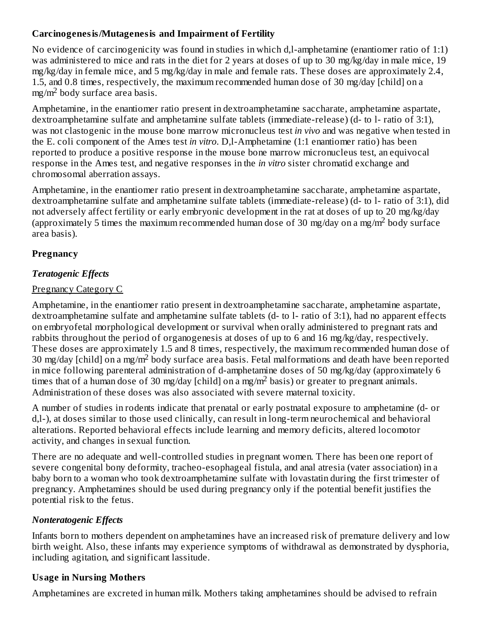### **Carcinogenesis/Mutagenesis and Impairment of Fertility**

No evidence of carcinogenicity was found in studies in which d,l-amphetamine (enantiomer ratio of 1:1) was administered to mice and rats in the diet for 2 years at doses of up to 30 mg/kg/day in male mice, 19 mg/kg/day in female mice, and 5 mg/kg/day in male and female rats. These doses are approximately 2.4, 1.5, and 0.8 times, respectively, the maximum recommended human dose of 30 mg/day [child] on a  $mg/m<sup>2</sup>$  body surface area basis.

Amphetamine, in the enantiomer ratio present in dextroamphetamine saccharate, amphetamine aspartate, dextroamphetamine sulfate and amphetamine sulfate tablets (immediate-release) (d- to l- ratio of 3:1), was not clastogenic in the mouse bone marrow micronucleus test *in vivo* and was negative when tested in the E. coli component of the Ames test *in vitro*. D,l-Amphetamine (1:1 enantiomer ratio) has been reported to produce a positive response in the mouse bone marrow micronucleus test, an equivocal response in the Ames test, and negative responses in the *in vitro* sister chromatid exchange and chromosomal aberration assays.

Amphetamine, in the enantiomer ratio present in dextroamphetamine saccharate, amphetamine aspartate, dextroamphetamine sulfate and amphetamine sulfate tablets (immediate-release) (d- to l- ratio of 3:1), did not adversely affect fertility or early embryonic development in the rat at doses of up to 20 mg/kg/day (approximately 5 times the maximum recommended human dose of 30 mg/day on a mg/m<sup>2</sup> body surface area basis).

# **Pregnancy**

## *Teratogenic Effects*

## Pregnancy Category C

Amphetamine, in the enantiomer ratio present in dextroamphetamine saccharate, amphetamine aspartate, dextroamphetamine sulfate and amphetamine sulfate tablets (d- to l- ratio of 3:1), had no apparent effects on embryofetal morphological development or survival when orally administered to pregnant rats and rabbits throughout the period of organogenesis at doses of up to 6 and 16 mg/kg/day, respectively. These doses are approximately 1.5 and 8 times, respectively, the maximum recommended human dose of 30 mg/day [child] on a mg/m<sup>2</sup> body surface area basis. Fetal malformations and death have been reported in mice following parenteral administration of d-amphetamine doses of 50 mg/kg/day (approximately 6 times that of a human dose of 30 mg/day [child] on a mg/m<sup>2</sup> basis) or greater to pregnant animals. Administration of these doses was also associated with severe maternal toxicity.

A number of studies in rodents indicate that prenatal or early postnatal exposure to amphetamine (d- or d,l-), at doses similar to those used clinically, can result in long-term neurochemical and behavioral alterations. Reported behavioral effects include learning and memory deficits, altered locomotor activity, and changes in sexual function.

There are no adequate and well-controlled studies in pregnant women. There has been one report of severe congenital bony deformity, tracheo-esophageal fistula, and anal atresia (vater association) in a baby born to a woman who took dextroamphetamine sulfate with lovastatin during the first trimester of pregnancy. Amphetamines should be used during pregnancy only if the potential benefit justifies the potential risk to the fetus.

## *Nonteratogenic Effects*

Infants born to mothers dependent on amphetamines have an increased risk of premature delivery and low birth weight. Also, these infants may experience symptoms of withdrawal as demonstrated by dysphoria, including agitation, and significant lassitude.

## **Usage in Nursing Mothers**

Amphetamines are excreted in human milk. Mothers taking amphetamines should be advised to refrain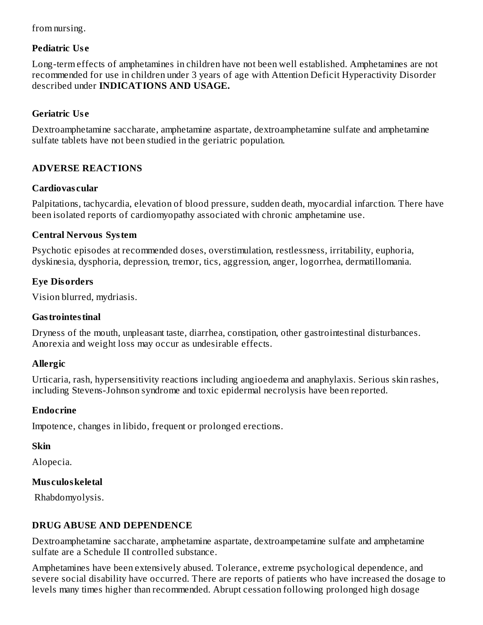### from nursing.

### **Pediatric Us e**

Long-term effects of amphetamines in children have not been well established. Amphetamines are not recommended for use in children under 3 years of age with Attention Deficit Hyperactivity Disorder described under **INDICATIONS AND USAGE.**

### **Geriatric Us e**

Dextroamphetamine saccharate, amphetamine aspartate, dextroamphetamine sulfate and amphetamine sulfate tablets have not been studied in the geriatric population.

### **ADVERSE REACTIONS**

### **Cardiovas cular**

Palpitations, tachycardia, elevation of blood pressure, sudden death, myocardial infarction. There have been isolated reports of cardiomyopathy associated with chronic amphetamine use.

#### **Central Nervous System**

Psychotic episodes at recommended doses, overstimulation, restlessness, irritability, euphoria, dyskinesia, dysphoria, depression, tremor, tics, aggression, anger, logorrhea, dermatillomania.

### **Eye Disorders**

Vision blurred, mydriasis.

### **Gastrointestinal**

Dryness of the mouth, unpleasant taste, diarrhea, constipation, other gastrointestinal disturbances. Anorexia and weight loss may occur as undesirable effects.

### **Allergic**

Urticaria, rash, hypersensitivity reactions including angioedema and anaphylaxis. Serious skin rashes, including Stevens-Johnson syndrome and toxic epidermal necrolysis have been reported.

### **Endocrine**

Impotence, changes in libido, frequent or prolonged erections.

### **Skin**

Alopecia.

### **Mus culoskeletal**

Rhabdomyolysis.

### **DRUG ABUSE AND DEPENDENCE**

Dextroamphetamine saccharate, amphetamine aspartate, dextroampetamine sulfate and amphetamine sulfate are a Schedule II controlled substance.

Amphetamines have been extensively abused. Tolerance, extreme psychological dependence, and severe social disability have occurred. There are reports of patients who have increased the dosage to levels many times higher than recommended. Abrupt cessation following prolonged high dosage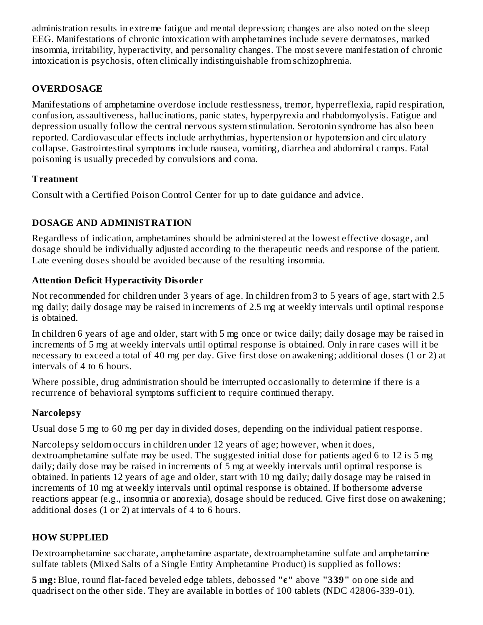administration results in extreme fatigue and mental depression; changes are also noted on the sleep EEG. Manifestations of chronic intoxication with amphetamines include severe dermatoses, marked insomnia, irritability, hyperactivity, and personality changes. The most severe manifestation of chronic intoxication is psychosis, often clinically indistinguishable from schizophrenia.

## **OVERDOSAGE**

Manifestations of amphetamine overdose include restlessness, tremor, hyperreflexia, rapid respiration, confusion, assaultiveness, hallucinations, panic states, hyperpyrexia and rhabdomyolysis. Fatigue and depression usually follow the central nervous system stimulation. Serotonin syndrome has also been reported. Cardiovascular effects include arrhythmias, hypertension or hypotension and circulatory collapse. Gastrointestinal symptoms include nausea, vomiting, diarrhea and abdominal cramps. Fatal poisoning is usually preceded by convulsions and coma.

### **Treatment**

Consult with a Certified Poison Control Center for up to date guidance and advice.

### **DOSAGE AND ADMINISTRATION**

Regardless of indication, amphetamines should be administered at the lowest effective dosage, and dosage should be individually adjusted according to the therapeutic needs and response of the patient. Late evening doses should be avoided because of the resulting insomnia.

### **Attention Deficit Hyperactivity Disorder**

Not recommended for children under 3 years of age. In children from 3 to 5 years of age, start with 2.5 mg daily; daily dosage may be raised in increments of 2.5 mg at weekly intervals until optimal response is obtained.

In children 6 years of age and older, start with 5 mg once or twice daily; daily dosage may be raised in increments of 5 mg at weekly intervals until optimal response is obtained. Only in rare cases will it be necessary to exceed a total of 40 mg per day. Give first dose on awakening; additional doses (1 or 2) at intervals of 4 to 6 hours.

Where possible, drug administration should be interrupted occasionally to determine if there is a recurrence of behavioral symptoms sufficient to require continued therapy.

### **Narcolepsy**

Usual dose 5 mg to 60 mg per day in divided doses, depending on the individual patient response.

Narcolepsy seldom occurs in children under 12 years of age; however, when it does, dextroamphetamine sulfate may be used. The suggested initial dose for patients aged 6 to 12 is 5 mg daily; daily dose may be raised in increments of 5 mg at weekly intervals until optimal response is obtained. In patients 12 years of age and older, start with 10 mg daily; daily dosage may be raised in increments of 10 mg at weekly intervals until optimal response is obtained. If bothersome adverse reactions appear (e.g., insomnia or anorexia), dosage should be reduced. Give first dose on awakening; additional doses (1 or 2) at intervals of 4 to 6 hours.

### **HOW SUPPLIED**

Dextroamphetamine saccharate, amphetamine aspartate, dextroamphetamine sulfate and amphetamine sulfate tablets (Mixed Salts of a Single Entity Amphetamine Product) is supplied as follows:

**5 mg:** Blue, round flat-faced beveled edge tablets, debossed **"є"** above **"339"** on one side and quadrisect on the other side. They are available in bottles of 100 tablets (NDC 42806-339-01).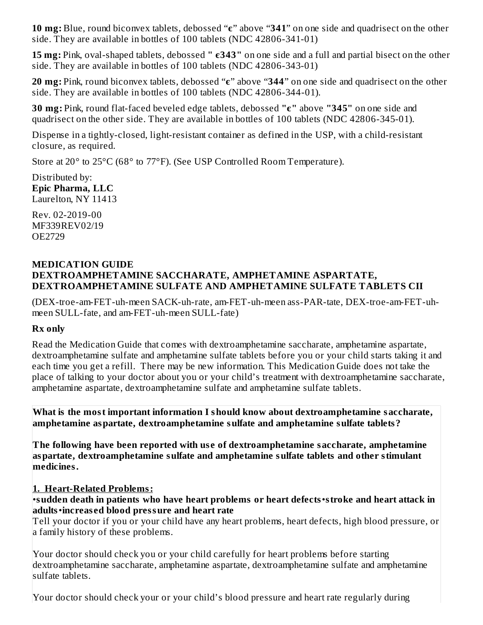**10 mg:** Blue, round biconvex tablets, debossed "**є**" above "**341**" on one side and quadrisect on the other side. They are available in bottles of 100 tablets (NDC 42806-341-01)

**15 mg:** Pink, oval-shaped tablets, debossed **" є343"** on one side and a full and partial bisect on the other side. They are available in bottles of 100 tablets (NDC 42806-343-01)

**20 mg:** Pink, round biconvex tablets, debossed "**є**" above "**344**" on one side and quadrisect on the other side. They are available in bottles of 100 tablets (NDC 42806-344-01).

**30 mg:** Pink, round flat-faced beveled edge tablets, debossed **"є"** above **"345"** on one side and quadrisect on the other side. They are available in bottles of 100 tablets (NDC 42806-345-01).

Dispense in a tightly-closed, light-resistant container as defined in the USP, with a child-resistant closure, as required.

Store at 20° to 25°C (68° to 77°F). (See USP Controlled Room Temperature).

Distributed by: **Epic Pharma, LLC** Laurelton, NY 11413

Rev. 02-2019-00 MF339REV02/19 OE2729

### **MEDICATION GUIDE DEXTROAMPHETAMINE SACCHARATE, AMPHETAMINE ASPARTATE, DEXTROAMPHETAMINE SULFATE AND AMPHETAMINE SULFATE TABLETS CII**

(DEX-troe-am-FET-uh-meen SACK-uh-rate, am-FET-uh-meen ass-PAR-tate, DEX-troe-am-FET-uhmeen SULL-fate, and am-FET-uh-meen SULL-fate)

#### **Rx only**

Read the Medication Guide that comes with dextroamphetamine saccharate, amphetamine aspartate, dextroamphetamine sulfate and amphetamine sulfate tablets before you or your child starts taking it and each time you get a refill. There may be new information. This Medication Guide does not take the place of talking to your doctor about you or your child's treatment with dextroamphetamine saccharate, amphetamine aspartate, dextroamphetamine sulfate and amphetamine sulfate tablets.

**What is the most important information I should know about dextroamphetamine saccharate, amphetamine aspartate, dextroamphetamine sulfate and amphetamine sulfate tablets?**

**The following have been reported with us e of dextroamphetamine saccharate, amphetamine aspartate, dextroamphetamine sulfate and amphetamine sulfate tablets and other stimulant medicines.**

### **1. Heart-Related Problems:**

•**sudden death in patients who have heart problems or heart defects**•**stroke and heart attack in adults**•**increas ed blood pressure and heart rate**

Tell your doctor if you or your child have any heart problems, heart defects, high blood pressure, or a family history of these problems.

Your doctor should check you or your child carefully for heart problems before starting dextroamphetamine saccharate, amphetamine aspartate, dextroamphetamine sulfate and amphetamine sulfate tablets.

Your doctor should check your or your child's blood pressure and heart rate regularly during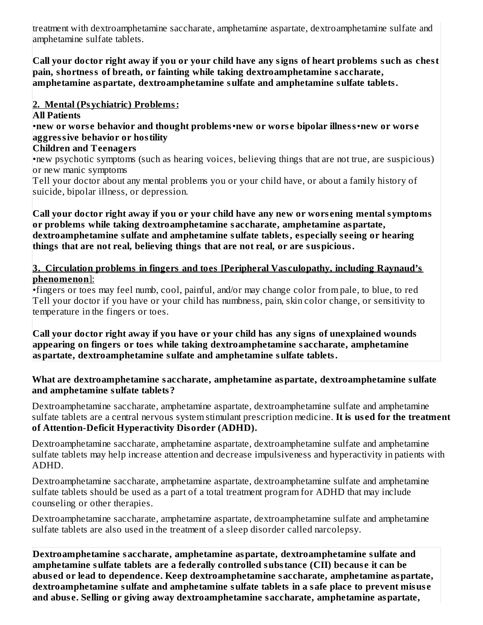treatment with dextroamphetamine saccharate, amphetamine aspartate, dextroamphetamine sulfate and amphetamine sulfate tablets.

 $\vert$ Call your doctor right away if you or your child have any signs of heart problems such as chest **pain, shortness of breath, or fainting while taking dextroamphetamine saccharate, amphetamine aspartate, dextroamphetamine sulfate and amphetamine sulfate tablets.**

**2. Mental (Psychiatric) Problems:**

**All Patients**

•**new or wors e behavior and thought problems**•**new or wors e bipolar illness**•**new or wors e aggressive behavior or hostility**

### **Children and Teenagers**

•new psychotic symptoms (such as hearing voices, believing things that are not true, are suspicious) or new manic symptoms

Tell your doctor about any mental problems you or your child have, or about a family history of suicide, bipolar illness, or depression.

**Call your doctor right away if you or your child have any new or wors ening mental symptoms or problems while taking dextroamphetamine saccharate, amphetamine aspartate, dextroamphetamine sulfate and amphetamine sulfate tablets, especially s eeing or hearing things that are not real, believing things that are not real, or are suspicious.**

**3. Circulation problems in fingers and toes [Peripheral Vas culopathy, including Raynaud's phenomenon**]:

•fingers or toes may feel numb, cool, painful, and/or may change color from pale, to blue, to red Tell your doctor if you have or your child has numbness, pain, skin color change, or sensitivity to temperature in the fingers or toes.

**Call your doctor right away if you have or your child has any signs of unexplained wounds appearing on fingers or toes while taking dextroamphetamine saccharate, amphetamine aspartate, dextroamphetamine sulfate and amphetamine sulfate tablets.**

#### **What are dextroamphetamine saccharate, amphetamine aspartate, dextroamphetamine sulfate and amphetamine sulfate tablets?**

Dextroamphetamine saccharate, amphetamine aspartate, dextroamphetamine sulfate and amphetamine sulfate tablets are a central nervous system stimulant prescription medicine. **It is us ed for the treatment of Attention-Deficit Hyperactivity Disorder (ADHD).**

Dextroamphetamine saccharate, amphetamine aspartate, dextroamphetamine sulfate and amphetamine sulfate tablets may help increase attention and decrease impulsiveness and hyperactivity in patients with ADHD.

Dextroamphetamine saccharate, amphetamine aspartate, dextroamphetamine sulfate and amphetamine sulfate tablets should be used as a part of a total treatment program for ADHD that may include counseling or other therapies.

Dextroamphetamine saccharate, amphetamine aspartate, dextroamphetamine sulfate and amphetamine sulfate tablets are also used in the treatment of a sleep disorder called narcolepsy.

**Dextroamphetamine saccharate, amphetamine aspartate, dextroamphetamine sulfate and amphetamine sulfate tablets are a federally controlled substance (CII) becaus e it can be abus ed or lead to dependence. Keep dextroamphetamine saccharate, amphetamine aspartate, dextroamphetamine sulfate and amphetamine sulfate tablets in a safe place to prevent misus e and abus e. Selling or giving away dextroamphetamine saccharate, amphetamine aspartate,**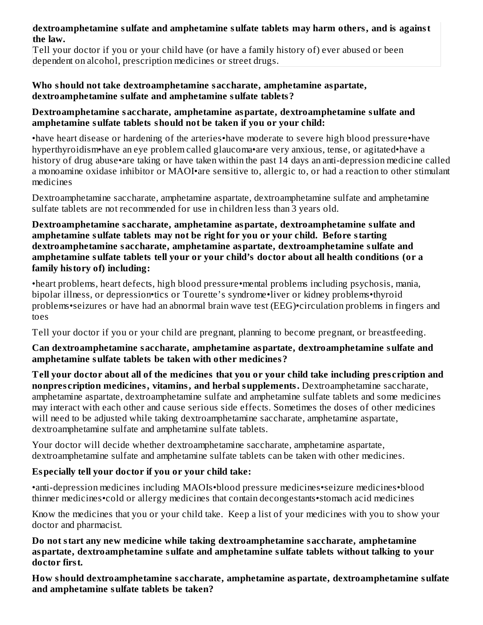#### **dextroamphetamine sulfate and amphetamine sulfate tablets may harm others, and is against the law.**

Tell your doctor if you or your child have (or have a family history of) ever abused or been dependent on alcohol, prescription medicines or street drugs.

#### **Who should not take dextroamphetamine saccharate, amphetamine aspartate, dextroamphetamine sulfate and amphetamine sulfate tablets?**

#### **Dextroamphetamine saccharate, amphetamine aspartate, dextroamphetamine sulfate and amphetamine sulfate tablets should not be taken if you or your child:**

•have heart disease or hardening of the arteries•have moderate to severe high blood pressure•have hyperthyroidism•have an eye problem called glaucoma•are very anxious, tense, or agitated•have a history of drug abuse•are taking or have taken within the past 14 days an anti-depression medicine called a monoamine oxidase inhibitor or MAOI•are sensitive to, allergic to, or had a reaction to other stimulant medicines

Dextroamphetamine saccharate, amphetamine aspartate, dextroamphetamine sulfate and amphetamine sulfate tablets are not recommended for use in children less than 3 years old.

#### **Dextroamphetamine saccharate, amphetamine aspartate, dextroamphetamine sulfate and amphetamine sulfate tablets may not be right for you or your child. Before starting dextroamphetamine saccharate, amphetamine aspartate, dextroamphetamine sulfate and amphetamine sulfate tablets tell your or your child's doctor about all health conditions (or a family history of) including:**

•heart problems, heart defects, high blood pressure•mental problems including psychosis, mania, bipolar illness, or depression•tics or Tourette's syndrome•liver or kidney problems•thyroid problems•seizures or have had an abnormal brain wave test (EEG)•circulation problems in fingers and toes

Tell your doctor if you or your child are pregnant, planning to become pregnant, or breastfeeding.

#### **Can dextroamphetamine saccharate, amphetamine aspartate, dextroamphetamine sulfate and amphetamine sulfate tablets be taken with other medicines?**

Tell your doctor about all of the medicines that you or your child take including prescription and **nonpres cription medicines, vitamins, and herbal supplements.** Dextroamphetamine saccharate, amphetamine aspartate, dextroamphetamine sulfate and amphetamine sulfate tablets and some medicines may interact with each other and cause serious side effects. Sometimes the doses of other medicines will need to be adjusted while taking dextroamphetamine saccharate, amphetamine aspartate, dextroamphetamine sulfate and amphetamine sulfate tablets.

Your doctor will decide whether dextroamphetamine saccharate, amphetamine aspartate, dextroamphetamine sulfate and amphetamine sulfate tablets can be taken with other medicines.

### **Especially tell your doctor if you or your child take:**

•anti-depression medicines including MAOIs•blood pressure medicines•seizure medicines•blood thinner medicines•cold or allergy medicines that contain decongestants•stomach acid medicines

Know the medicines that you or your child take. Keep a list of your medicines with you to show your doctor and pharmacist.

**Do not start any new medicine while taking dextroamphetamine saccharate, amphetamine aspartate, dextroamphetamine sulfate and amphetamine sulfate tablets without talking to your doctor first.**

**How should dextroamphetamine saccharate, amphetamine aspartate, dextroamphetamine sulfate and amphetamine sulfate tablets be taken?**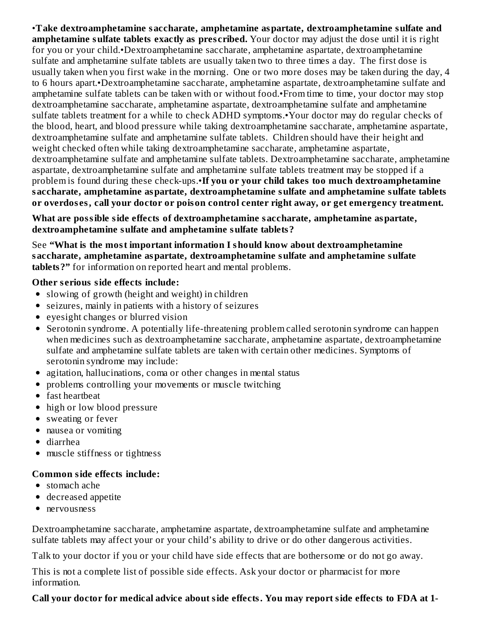•**Take dextroamphetamine saccharate, amphetamine aspartate, dextroamphetamine sulfate and amphetamine sulfate tablets exactly as pres cribed.** Your doctor may adjust the dose until it is right for you or your child.•Dextroamphetamine saccharate, amphetamine aspartate, dextroamphetamine sulfate and amphetamine sulfate tablets are usually taken two to three times a day. The first dose is usually taken when you first wake in the morning. One or two more doses may be taken during the day, 4 to 6 hours apart.•Dextroamphetamine saccharate, amphetamine aspartate, dextroamphetamine sulfate and amphetamine sulfate tablets can be taken with or without food.•From time to time, your doctor may stop dextroamphetamine saccharate, amphetamine aspartate, dextroamphetamine sulfate and amphetamine sulfate tablets treatment for a while to check ADHD symptoms.•Your doctor may do regular checks of the blood, heart, and blood pressure while taking dextroamphetamine saccharate, amphetamine aspartate, dextroamphetamine sulfate and amphetamine sulfate tablets. Children should have their height and weight checked often while taking dextroamphetamine saccharate, amphetamine aspartate, dextroamphetamine sulfate and amphetamine sulfate tablets. Dextroamphetamine saccharate, amphetamine aspartate, dextroamphetamine sulfate and amphetamine sulfate tablets treatment may be stopped if a problem is found during these check-ups.•**If you or your child takes too much dextroamphetamine saccharate, amphetamine aspartate, dextroamphetamine sulfate and amphetamine sulfate tablets or overdos es, call your doctor or poison control center right away, or get emergency treatment.**

**What are possible side effects of dextroamphetamine saccharate, amphetamine aspartate, dextroamphetamine sulfate and amphetamine sulfate tablets?**

See **"What is the most important information I should know about dextroamphetamine saccharate, amphetamine aspartate, dextroamphetamine sulfate and amphetamine sulfate tablets?"** for information on reported heart and mental problems.

#### **Other s erious side effects include:**

- slowing of growth (height and weight) in children
- seizures, mainly in patients with a history of seizures
- eyesight changes or blurred vision
- Serotonin syndrome. A potentially life-threatening problem called serotonin syndrome can happen when medicines such as dextroamphetamine saccharate, amphetamine aspartate, dextroamphetamine sulfate and amphetamine sulfate tablets are taken with certain other medicines. Symptoms of serotonin syndrome may include:
- agitation, hallucinations, coma or other changes in mental status
- problems controlling your movements or muscle twitching
- fast heartbeat
- high or low blood pressure
- sweating or fever
- nausea or vomiting
- diarrhea
- muscle stiffness or tightness

### **Common side effects include:**

- stomach ache
- decreased appetite
- nervousness

Dextroamphetamine saccharate, amphetamine aspartate, dextroamphetamine sulfate and amphetamine sulfate tablets may affect your or your child's ability to drive or do other dangerous activities.

Talk to your doctor if you or your child have side effects that are bothersome or do not go away.

This is not a complete list of possible side effects. Ask your doctor or pharmacist for more information.

### **Call your doctor for medical advice about side effects. You may report side effects to FDA at 1-**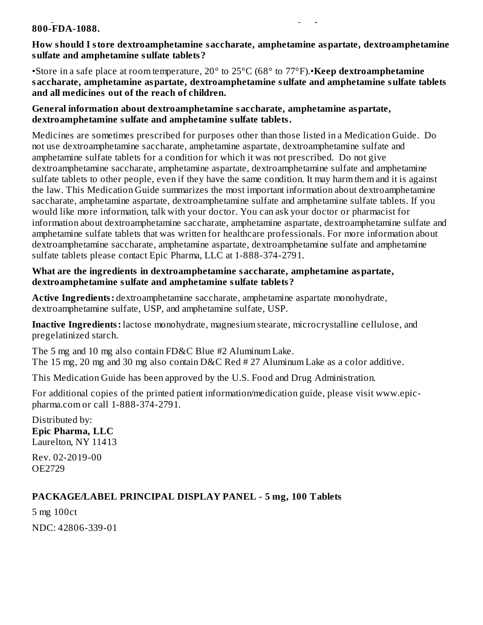#### **Call your doctor for medical advice about side effects. You may report side effects to FDA at 1- 800-FDA-1088.**

#### **How should I store dextroamphetamine saccharate, amphetamine aspartate, dextroamphetamine sulfate and amphetamine sulfate tablets?**

•Store in a safe place at room temperature, 20° to 25°C (68° to 77°F).•**Keep dextroamphetamine saccharate, amphetamine aspartate, dextroamphetamine sulfate and amphetamine sulfate tablets and all medicines out of the reach of children.**

#### **General information about dextroamphetamine saccharate, amphetamine aspartate, dextroamphetamine sulfate and amphetamine sulfate tablets.**

Medicines are sometimes prescribed for purposes other than those listed in a Medication Guide. Do not use dextroamphetamine saccharate, amphetamine aspartate, dextroamphetamine sulfate and amphetamine sulfate tablets for a condition for which it was not prescribed. Do not give dextroamphetamine saccharate, amphetamine aspartate, dextroamphetamine sulfate and amphetamine sulfate tablets to other people, even if they have the same condition. It may harm them and it is against the law. This Medication Guide summarizes the most important information about dextroamphetamine saccharate, amphetamine aspartate, dextroamphetamine sulfate and amphetamine sulfate tablets. If you would like more information, talk with your doctor. You can ask your doctor or pharmacist for information about dextroamphetamine saccharate, amphetamine aspartate, dextroamphetamine sulfate and amphetamine sulfate tablets that was written for healthcare professionals. For more information about dextroamphetamine saccharate, amphetamine aspartate, dextroamphetamine sulfate and amphetamine sulfate tablets please contact Epic Pharma, LLC at 1-888-374-2791.

### **What are the ingredients in dextroamphetamine saccharate, amphetamine aspartate, dextroamphetamine sulfate and amphetamine sulfate tablets?**

**Active Ingredients:** dextroamphetamine saccharate, amphetamine aspartate monohydrate, dextroamphetamine sulfate, USP, and amphetamine sulfate, USP.

**Inactive Ingredients:** lactose monohydrate, magnesium stearate, microcrystalline cellulose, and pregelatinized starch.

The 5 mg and 10 mg also contain FD&C Blue #2 Aluminum Lake. The 15 mg, 20 mg and 30 mg also contain D&C Red # 27 Aluminum Lake as a color additive.

This Medication Guide has been approved by the U.S. Food and Drug Administration.

For additional copies of the printed patient information/medication guide, please visit www.epicpharma.com or call 1-888-374-2791.

Distributed by: **Epic Pharma, LLC** Laurelton, NY 11413

Rev. 02-2019-00 OE2729

# **PACKAGE/LABEL PRINCIPAL DISPLAY PANEL - 5 mg, 100 Tablets**

5 mg 100ct NDC: 42806-339-01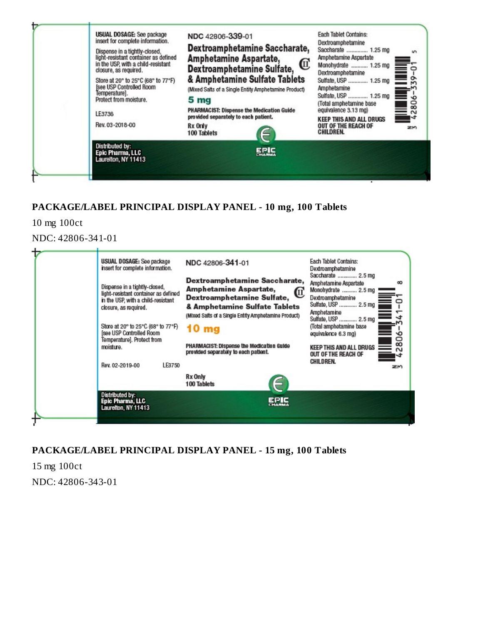

## **PACKAGE/LABEL PRINCIPAL DISPLAY PANEL - 10 mg, 100 Tablets**

10 mg 100ct

NDC: 42806-341-01

| USUAL DOSAGE: See package<br>insert for complete information.<br>Dispense in a tightly-closed,<br>light-resistant container as defined<br>in the USP, with a child-resistant<br>closure, as required.<br>Store at 20° to 25°C (68° to 77°F)<br>[see USP Controlled Room | NDC 42806-341-01<br>Dextroamphetamine Saccharate,<br>Amphetamine Aspartate,<br>Dextroamphetamine Sulfate, II<br>& Amphetamine Sulfate Tablets<br>(Mixed Salts of a Single Entity Amphetamine Product)<br>10 <sub>mg</sub> | Each Tablet Contains:<br>Dextroamphetamine<br>Saccharate  2.5 mg<br>Amphetamine Aspartate<br>œ<br>Monohydrate  2.5 mg<br>Dextroamphetamine<br>Sulfate, USP  2.5 mg<br>Amphetamine<br>Sulfate, USP  2.5 mg<br>(Total amphetamine base<br>equivalence 6.3 mg)<br>∾ |
|-------------------------------------------------------------------------------------------------------------------------------------------------------------------------------------------------------------------------------------------------------------------------|---------------------------------------------------------------------------------------------------------------------------------------------------------------------------------------------------------------------------|------------------------------------------------------------------------------------------------------------------------------------------------------------------------------------------------------------------------------------------------------------------|
| Temperature]. Protect from<br>moisture.<br>LE3750<br>Rev. 02-2019-00<br>Distributed by:                                                                                                                                                                                 | PHARMACIST: Dispense the Medication Guide<br>provided separately to each patient.<br>Rx Only<br>100 Tablets<br>EPIC                                                                                                       | 80<br>KEEP THIS AND ALL DRUGS<br>$\sim$<br>OUT OF THE REACH OF<br>ෑ<br>CHILDREN.<br>zm                                                                                                                                                                           |
| Epic Pharma, LLC<br>Laurelton, NY 11413                                                                                                                                                                                                                                 | <b>HARMA</b>                                                                                                                                                                                                              |                                                                                                                                                                                                                                                                  |

**PACKAGE/LABEL PRINCIPAL DISPLAY PANEL - 15 mg, 100 Tablets**

15 mg 100ct NDC: 42806-343-01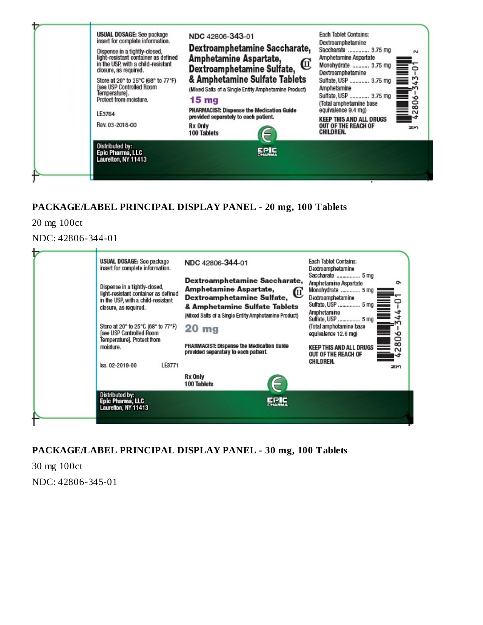

## **PACKAGE/LABEL PRINCIPAL DISPLAY PANEL - 20 mg, 100 Tablets**

20 mg 100ct

NDC: 42806-344-01

| ъ | USUAL DOSAGE: See package<br>insert for complete information.<br>Dispense in a tightly-closed,<br>light-resistant container as defined<br>in the USP, with a child-resistant<br>closure, as required.<br>Store at 20° to 25°C (68° to 77°F)<br>[see USP Controlled Room<br>Temperature]. Protect from<br>moisture.<br>LE3771<br>lss. 02-2019-00<br>Distributed by:<br>Epic Pharma, LLC | NDC 42806-344-01<br>Dextroamphetamine Saccharate,<br>Amphetamine Aspartate,<br>Dextroamphetamine Sulfate,<br>& Amphetamine Sulfate Tablets<br>(Mixed Salts of a Single Entity Amphetamine Product)<br>20 <sub>mg</sub><br>PHARMACIST: Dispense the Medication Guide<br>provided separately to each patient.<br>Rx Only<br>100 Tablets<br>EPIC | Each Tablet Contains:<br>Dextroamphetamine<br>Saccharate  5 mg<br>Amphetamine Aspartate<br>ō<br>Monohydrate  5 mg<br>Dextroamphetamine<br>Sulfate, USP  5 mg<br>Amphetamine<br>Sulfate, USP  5 mg<br>−ฺ<br>(Total amphetamine base<br>equivalence 12.6 mg)<br>∾<br>80<br><b>KEEP THIS AND ALL DRUGS</b><br>$\sim$<br>OUT OF THE REACH OF<br>CHILDREN.<br>zm |
|---|----------------------------------------------------------------------------------------------------------------------------------------------------------------------------------------------------------------------------------------------------------------------------------------------------------------------------------------------------------------------------------------|-----------------------------------------------------------------------------------------------------------------------------------------------------------------------------------------------------------------------------------------------------------------------------------------------------------------------------------------------|-------------------------------------------------------------------------------------------------------------------------------------------------------------------------------------------------------------------------------------------------------------------------------------------------------------------------------------------------------------|
|   | Laurelton, NY 11413                                                                                                                                                                                                                                                                                                                                                                    | <b>CHARMA</b>                                                                                                                                                                                                                                                                                                                                 |                                                                                                                                                                                                                                                                                                                                                             |

**PACKAGE/LABEL PRINCIPAL DISPLAY PANEL - 30 mg, 100 Tablets**

30 mg 100ct NDC: 42806-345-01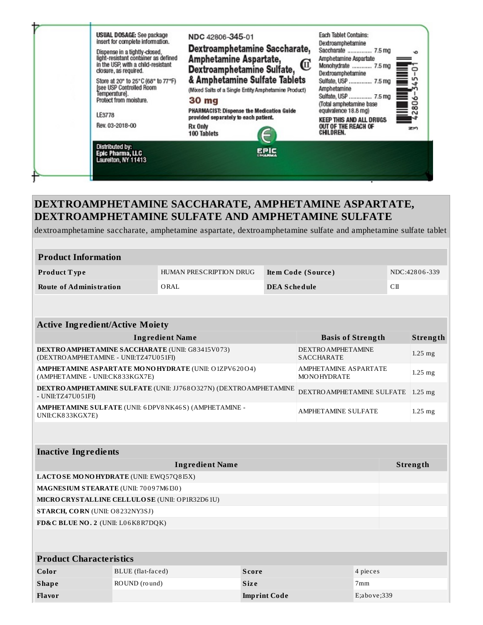

dextroamphetamine saccharate, amphetamine aspartate, dextroamphetamine sulfate and amphetamine sulfate tablet

| <b>Product Information</b> |                         |                     |               |  |  |
|----------------------------|-------------------------|---------------------|---------------|--|--|
| <b>Product Type</b>        | HUMAN PRESCRIPTION DRUG | Item Code (Source)  | NDC:42806-339 |  |  |
| Route of Administration    | ORAL                    | <b>DEA Schedule</b> | CП            |  |  |

| <b>Active Ingredient/Active Moiety</b>                                                                                                               |                                                 |             |                          |          |           |           |  |
|------------------------------------------------------------------------------------------------------------------------------------------------------|-------------------------------------------------|-------------|--------------------------|----------|-----------|-----------|--|
|                                                                                                                                                      | <b>Ingredient Name</b>                          |             | <b>Basis of Strength</b> |          |           | Strength  |  |
| DEXTRO AMPHETAMINE SACCHARATE (UNII: G83415V073)<br><b>DEXTRO AMPHETAMINE</b><br>(DEXTRO AMPHETAMINE - UNII:TZ47U051FI)<br><b>SACCHARATE</b>         |                                                 |             |                          |          | $1.25$ mg |           |  |
| <b>AMPHETAMINE ASPARTATE MONOHYDRATE (UNII: O1ZPV620O4)</b><br><b>AMPHETAMINE ASPARTATE</b><br>(AMPHETAMINE - UNII:CK833KGX7E)<br><b>MONOHYDRATE</b> |                                                 |             |                          |          | $1.25$ mg |           |  |
| DEXTRO AMPHETAMINE SULFATE (UNII: JJ768O327N) (DEXTRO AMPHETAMINE<br>DEXTRO AMPHETAMINE SULFATE<br>- UNII:TZ47U051FI)                                |                                                 |             |                          |          | $1.25$ mg |           |  |
| AMPHETAMINE SULFATE (UNII: 6DPV8NK46S) (AMPHETAMINE -<br><b>AMPHETAMINE SULFATE</b><br>UNII:CK833KGX7E)                                              |                                                 |             |                          |          |           | $1.25$ mg |  |
|                                                                                                                                                      |                                                 |             |                          |          |           |           |  |
| <b>Inactive Ingredients</b>                                                                                                                          |                                                 |             |                          |          |           |           |  |
| <b>Ingredient Name</b><br>Strength                                                                                                                   |                                                 |             |                          |          |           |           |  |
|                                                                                                                                                      | LACTOSE MONOHYDRATE (UNII: EWQ57Q8I5X)          |             |                          |          |           |           |  |
| MAGNESIUM STEARATE (UNII: 70097M6I30)                                                                                                                |                                                 |             |                          |          |           |           |  |
|                                                                                                                                                      | MICRO CRYSTALLINE CELLULO SE (UNII: OP1R32D61U) |             |                          |          |           |           |  |
| STARCH, CORN (UNII: O8232NY3SJ)                                                                                                                      |                                                 |             |                          |          |           |           |  |
| FD&C BLUE NO. 2 (UNII: L06K8R7DQK)                                                                                                                   |                                                 |             |                          |          |           |           |  |
|                                                                                                                                                      |                                                 |             |                          |          |           |           |  |
| <b>Product Characteristics</b>                                                                                                                       |                                                 |             |                          |          |           |           |  |
| Color                                                                                                                                                | BLUE (flat-faced)                               | Score       |                          | 4 pieces |           |           |  |
| <b>Shape</b>                                                                                                                                         | ROUND (round)                                   | <b>Size</b> |                          | 7mm      |           |           |  |
| Flavor<br>E; above; 339<br><b>Imprint Code</b>                                                                                                       |                                                 |             |                          |          |           |           |  |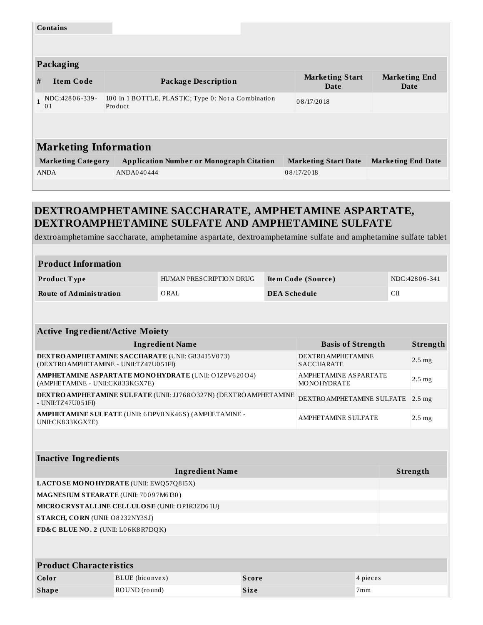|                              | <b>Contains</b>                                                                        |                                                 |                                       |                              |  |  |  |  |  |
|------------------------------|----------------------------------------------------------------------------------------|-------------------------------------------------|---------------------------------------|------------------------------|--|--|--|--|--|
|                              |                                                                                        |                                                 |                                       |                              |  |  |  |  |  |
|                              | Packaging                                                                              |                                                 |                                       |                              |  |  |  |  |  |
| #                            | <b>Item Code</b>                                                                       | <b>Package Description</b>                      | <b>Marketing Start</b><br><b>Date</b> | <b>Marketing End</b><br>Date |  |  |  |  |  |
| $\mathbf{1}$                 | 100 in 1 BOTTLE, PLASTIC; Type 0: Not a Combination<br>NDC:42806-339-<br>Product<br>01 |                                                 | 08/17/2018                            |                              |  |  |  |  |  |
|                              |                                                                                        |                                                 |                                       |                              |  |  |  |  |  |
| <b>Marketing Information</b> |                                                                                        |                                                 |                                       |                              |  |  |  |  |  |
|                              | <b>Marketing Category</b>                                                              | <b>Application Number or Monograph Citation</b> | <b>Marketing Start Date</b>           | <b>Marketing End Date</b>    |  |  |  |  |  |
|                              | <b>ANDA</b>                                                                            | ANDA040444                                      | 08/17/2018                            |                              |  |  |  |  |  |
|                              |                                                                                        |                                                 |                                       |                              |  |  |  |  |  |

dextroamphetamine saccharate, amphetamine aspartate, dextroamphetamine sulfate and amphetamine sulfate tablet

| <b>Product Information</b>     |                         |                     |               |  |  |  |
|--------------------------------|-------------------------|---------------------|---------------|--|--|--|
| <b>Product Type</b>            | HUMAN PRESCRIPTION DRUG | Item Code (Source)  | NDC:42806-341 |  |  |  |
| <b>Route of Administration</b> | ORAL                    | <b>DEA Schedule</b> | CШ            |  |  |  |

| <b>Active Ingredient/Active Moiety</b>                                                                                                              |              |                            |                 |                   |  |  |
|-----------------------------------------------------------------------------------------------------------------------------------------------------|--------------|----------------------------|-----------------|-------------------|--|--|
| <b>Ingredient Name</b>                                                                                                                              |              | <b>Basis of Strength</b>   |                 | Strength          |  |  |
| <b>DEXTRO AMPHETAMINE SACCHARATE (UNII: G83415V073)</b><br><b>DEXTRO AMPHETAMINE</b><br>(DEXTRO AMPHETAMINE - UNII:TZ47U051FI)<br><b>SACCHARATE</b> |              |                            |                 | $2.5$ mg          |  |  |
| AMPHETAMINE ASPARTATE MONOHYDRATE (UNII: O1ZPV620O4)<br>AMPHETAMINE ASPARTATE<br>(AMPHETAMINE - UNII:CK833KGX7E)<br><b>MONOHYDRATE</b>              |              |                            |                 | $2.5$ mg          |  |  |
| <b>DEXTRO AMPHETAMINE SULFATE (UNII: JJ768O327N) (DEXTRO AMPHETAMINE</b><br>DEXTRO AMPHETAMINE SULFATE<br>- UNII:TZ47U051FI)                        |              |                            |                 | 2.5 <sub>mg</sub> |  |  |
| AMPHETAMINE SULFATE (UNII: 6DPV8NK46S) (AMPHETAMINE -<br>UNII:CK833KGX7E)                                                                           |              | <b>AMPHETAMINE SULFATE</b> |                 | $2.5$ mg          |  |  |
|                                                                                                                                                     |              |                            |                 |                   |  |  |
| <b>Inactive Ingredients</b>                                                                                                                         |              |                            |                 |                   |  |  |
| <b>Ingredient Name</b>                                                                                                                              |              | Strength                   |                 |                   |  |  |
| LACTOSE MONOHYDRATE (UNII: EWQ57Q8I5X)                                                                                                              |              |                            |                 |                   |  |  |
| MAGNESIUM STEARATE (UNII: 70097M6I30)                                                                                                               |              |                            |                 |                   |  |  |
| MICRO CRYSTALLINE CELLULO SE (UNII: OP1R32D61U)                                                                                                     |              |                            |                 |                   |  |  |
| STARCH, CORN (UNII: O8232NY3SJ)                                                                                                                     |              |                            |                 |                   |  |  |
| FD&C BLUE NO. 2 (UNII: L06K8R7DQK)                                                                                                                  |              |                            |                 |                   |  |  |
|                                                                                                                                                     |              |                            |                 |                   |  |  |
| <b>Product Characteristics</b>                                                                                                                      |              |                            |                 |                   |  |  |
| BLUE (biconvex)<br>Color                                                                                                                            | <b>Score</b> |                            | 4 pieces        |                   |  |  |
| ROUND (round)<br><b>Shape</b>                                                                                                                       | <b>Size</b>  |                            | 7 <sub>mm</sub> |                   |  |  |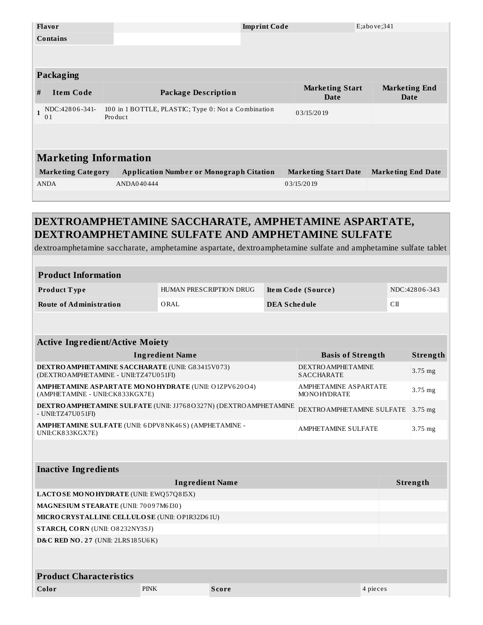| Flavor                           | <b>Imprint Code</b>                                            |                                | E; above; 341                |  |  |  |
|----------------------------------|----------------------------------------------------------------|--------------------------------|------------------------------|--|--|--|
| <b>Contains</b>                  |                                                                |                                |                              |  |  |  |
|                                  |                                                                |                                |                              |  |  |  |
|                                  |                                                                |                                |                              |  |  |  |
| <b>Packaging</b>                 |                                                                |                                |                              |  |  |  |
| #<br><b>Item Code</b>            | <b>Package Description</b>                                     | <b>Marketing Start</b><br>Date | <b>Marketing End</b><br>Date |  |  |  |
| NDC:42806-341-<br>0 <sub>1</sub> | 100 in 1 BOTTLE, PLASTIC; Type 0: Not a Combination<br>Product | 03/15/2019                     |                              |  |  |  |
|                                  |                                                                |                                |                              |  |  |  |
|                                  |                                                                |                                |                              |  |  |  |
| <b>Marketing Information</b>     |                                                                |                                |                              |  |  |  |
| <b>Marketing Category</b>        | <b>Application Number or Monograph Citation</b>                | <b>Marketing Start Date</b>    | <b>Marketing End Date</b>    |  |  |  |
| <b>ANDA</b>                      | ANDA040444                                                     | 03/15/2019                     |                              |  |  |  |
|                                  |                                                                |                                |                              |  |  |  |

dextroamphetamine saccharate, amphetamine aspartate, dextroamphetamine sulfate and amphetamine sulfate tablet

| <b>Product Information</b>                                                                                                                    |                         |  |                     |                                                |  |               |           |
|-----------------------------------------------------------------------------------------------------------------------------------------------|-------------------------|--|---------------------|------------------------------------------------|--|---------------|-----------|
| Product Type                                                                                                                                  | HUMAN PRESCRIPTION DRUG |  | Item Code (Source)  |                                                |  | NDC:42806-343 |           |
| <b>Route of Administration</b>                                                                                                                | ORAL                    |  | <b>DEA Schedule</b> |                                                |  | $\rm CII$     |           |
|                                                                                                                                               |                         |  |                     |                                                |  |               |           |
|                                                                                                                                               |                         |  |                     |                                                |  |               |           |
| <b>Active Ingredient/Active Moiety</b>                                                                                                        |                         |  |                     |                                                |  |               |           |
|                                                                                                                                               | <b>Ingredient Name</b>  |  |                     | <b>Basis of Strength</b>                       |  |               | Strength  |
| <b>DEXTRO AMPHETAMINE SACCHARATE (UNII: G83415V073)</b><br>(DEXTRO AMPHETAMINE - UNII:TZ47U051FI)                                             |                         |  |                     | <b>DEXTRO AMPHETAMINE</b><br><b>SACCHARATE</b> |  |               | $3.75$ mg |
| AMPHETAMINE ASPARTATE MONOHYDRATE (UNII: O1ZPV620O4)<br><b>AMPHETAMINE ASPARTATE</b><br>(AMPHETAMINE - UNII:CK833KGX7E)<br><b>MONOHYDRATE</b> |                         |  |                     |                                                |  |               | $3.75$ mg |
| <b>DEXTRO AMPHETAMINE SULFATE (UNII: JJ768O327N) (DEXTRO AMPHETAMINE</b><br>DEXTRO AMPHETAMINE SULFATE<br>- UNII:TZ47U051FI)                  |                         |  |                     |                                                |  |               | $3.75$ mg |
| AMPHETAMINE SULFATE (UNII: 6DPV8NK46S) (AMPHETAMINE -<br><b>AMPHETAMINE SULFATE</b><br>UNII:CK833KGX7E)                                       |                         |  |                     |                                                |  |               | $3.75$ mg |
|                                                                                                                                               |                         |  |                     |                                                |  |               |           |
|                                                                                                                                               |                         |  |                     |                                                |  |               |           |
| <b>Inactive Ingredients</b>                                                                                                                   |                         |  |                     |                                                |  |               |           |
|                                                                                                                                               | <b>Ingredient Name</b>  |  |                     |                                                |  | Strength      |           |
| LACTOSE MONOHYDRATE (UNII: EWQ57Q815X)                                                                                                        |                         |  |                     |                                                |  |               |           |
| MAGNESIUM STEARATE (UNII: 70097M6I30)                                                                                                         |                         |  |                     |                                                |  |               |           |
| MICRO CRYSTALLINE CELLULO SE (UNII: OP1R32D61U)                                                                                               |                         |  |                     |                                                |  |               |           |
| STARCH, CORN (UNII: O8232NY3SJ)                                                                                                               |                         |  |                     |                                                |  |               |           |
| <b>D&amp;C RED NO. 27 (UNII: 2LRS 185U6K)</b>                                                                                                 |                         |  |                     |                                                |  |               |           |
|                                                                                                                                               |                         |  |                     |                                                |  |               |           |
| <b>Product Characteristics</b>                                                                                                                |                         |  |                     |                                                |  |               |           |
| <b>PINK</b><br>Color<br><b>Score</b>                                                                                                          |                         |  |                     | 4 pieces                                       |  |               |           |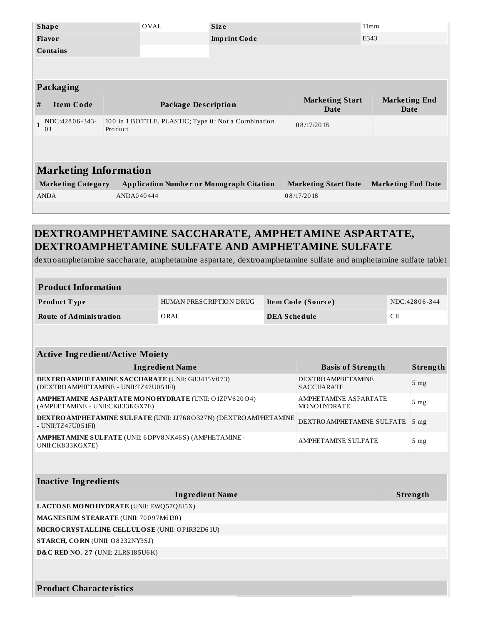|              | <b>Shape</b>                 |            | <b>OVAL</b>                                         | <b>Size</b>         |                                | 11mm                         |
|--------------|------------------------------|------------|-----------------------------------------------------|---------------------|--------------------------------|------------------------------|
|              | <b>Flavor</b>                |            |                                                     | <b>Imprint Code</b> |                                | E343                         |
|              | <b>Contains</b>              |            |                                                     |                     |                                |                              |
|              |                              |            |                                                     |                     |                                |                              |
|              |                              |            |                                                     |                     |                                |                              |
|              | Packaging                    |            |                                                     |                     |                                |                              |
| #            | <b>Item Code</b>             |            | <b>Package Description</b>                          |                     | <b>Marketing Start</b><br>Date | <b>Marketing End</b><br>Date |
|              |                              |            |                                                     |                     |                                |                              |
| $\mathbf{1}$ | NDC:42806-343-<br>01         | Product    | 100 in 1 BOTTLE, PLASTIC; Type 0: Not a Combination |                     | 08/17/2018                     |                              |
|              |                              |            |                                                     |                     |                                |                              |
|              |                              |            |                                                     |                     |                                |                              |
|              | <b>Marketing Information</b> |            |                                                     |                     |                                |                              |
|              | <b>Marketing Category</b>    |            | <b>Application Number or Monograph Citation</b>     |                     | <b>Marketing Start Date</b>    | <b>Marketing End Date</b>    |
|              | <b>ANDA</b>                  | ANDA040444 |                                                     |                     | 08/17/2018                     |                              |
|              |                              |            |                                                     |                     |                                |                              |

dextroamphetamine saccharate, amphetamine aspartate, dextroamphetamine sulfate and amphetamine sulfate tablet

### **Product Information**

| <b>Product Type</b>     | HUMAN PRESCRIPTION DRUG | Item Code (Source)  | NDC:42806-344 |
|-------------------------|-------------------------|---------------------|---------------|
| Route of Administration | ORAL                    | <b>DEA Schedule</b> | СΠ            |

| <b>Active Ingredient/Active Moiety</b>                                                           |                                                |                 |  |
|--------------------------------------------------------------------------------------------------|------------------------------------------------|-----------------|--|
| <b>Ingredient Name</b>                                                                           | <b>Basis of Strength</b>                       | Strength        |  |
| <b>DEXTRO AMPHETAMINE SACCHARATE (UNII: G83415V073)</b><br>(DEXTROAMPHETAMINE - UNII:TZ47U051FI) | <b>DEXTRO AMPHETAMINE</b><br><b>SACCHARATE</b> | 5 <sub>mg</sub> |  |
| <b>AMPHETAMINE ASPARTATE MONOHYDRATE (UNII: O1ZPV62004)</b><br>(AMPHETAMINE - UNII:CK833KGX7E)   | AMPHETAMINE ASPARTATE<br><b>MONOHYDRATE</b>    | 5 <sub>mg</sub> |  |
| <b>DEXTRO AMPHETAMINE SULFATE (UNII: JJ768O327N) (DEXTRO AMPHETAMINE</b><br>- UNII:TZ47U051FI)   | DEXTRO AMPHETAMINE SULFATE                     | 5 <sub>mg</sub> |  |
| AMPHETAMINE SULFATE (UNII: 6DPV8NK46S) (AMPHETAMINE -<br>UNII:CK833KGX7E)                        | <b>AMPHETAMINE SULFATE</b>                     | 5 <sub>mg</sub> |  |

| <b>Inactive Ingredients</b>                     |          |  |  |
|-------------------------------------------------|----------|--|--|
| <b>Ingredient Name</b>                          | Strength |  |  |
| <b>LACTOSE MONOHYDRATE (UNII: EWQ57Q8I5X)</b>   |          |  |  |
| MAGNESIUM STEARATE (UNII: 70097M6I30)           |          |  |  |
| MICRO CRYSTALLINE CELLULO SE (UNII: OP1R32D61U) |          |  |  |
| <b>STARCH, CORN</b> (UNII: O8232NY3SJ)          |          |  |  |
| <b>D&amp;C RED NO. 27 (UNII: 2LRS 185U6K)</b>   |          |  |  |
|                                                 |          |  |  |
| <b>Product Characteristics</b>                  |          |  |  |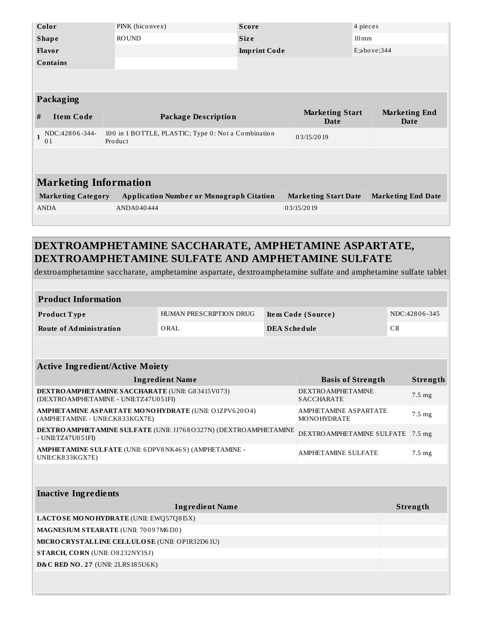|                              | Color                     | PINK (biconvex)                                                | <b>Score</b>               |                             | 4 pieces                                               |  |
|------------------------------|---------------------------|----------------------------------------------------------------|----------------------------|-----------------------------|--------------------------------------------------------|--|
|                              | <b>Shape</b>              | <b>ROUND</b>                                                   | <b>Size</b>                |                             | $10 \,\mathrm{mm}$                                     |  |
|                              | Flavor                    |                                                                | <b>Imprint Code</b>        |                             | E; above; 344                                          |  |
|                              | <b>Contains</b>           |                                                                |                            |                             |                                                        |  |
|                              |                           |                                                                |                            |                             |                                                        |  |
|                              |                           |                                                                |                            |                             |                                                        |  |
|                              | Packaging                 |                                                                |                            |                             |                                                        |  |
| #                            | <b>Item Code</b>          |                                                                | <b>Package Description</b> |                             | <b>Marketing Start</b><br><b>Marketing End</b><br>Date |  |
| $\mathbf{1}$                 | NDC:42806-344-<br>01      | 100 in 1 BOTTLE, PLASTIC; Type 0: Not a Combination<br>Product |                            | 03/15/2019                  |                                                        |  |
|                              |                           |                                                                |                            |                             |                                                        |  |
|                              |                           |                                                                |                            |                             |                                                        |  |
| <b>Marketing Information</b> |                           |                                                                |                            |                             |                                                        |  |
|                              | <b>Marketing Category</b> | <b>Application Number or Monograph Citation</b>                |                            | <b>Marketing Start Date</b> | <b>Marketing End Date</b>                              |  |
|                              |                           |                                                                |                            |                             |                                                        |  |
|                              | <b>ANDA</b>               | ANDA040444                                                     |                            | 03/15/2019                  |                                                        |  |

dextroamphetamine saccharate, amphetamine aspartate, dextroamphetamine sulfate and amphetamine sulfate tablet

| <b>Product Information</b> |                         |                    |               |
|----------------------------|-------------------------|--------------------|---------------|
| <b>Product Type</b>        | HUMAN PRESCRIPTION DRUG | Item Code (Source) | NDC:42806-345 |
| Route of Administration    | ORAL                    | DEA Schedule       | СП            |

| <b>Active Ingredient/Active Moiety</b>                                                           |                                                |                  |  |  |
|--------------------------------------------------------------------------------------------------|------------------------------------------------|------------------|--|--|
| <b>Ingredient Name</b>                                                                           | <b>Basis of Strength</b>                       | Strength         |  |  |
| <b>DEXTRO AMPHETAMINE SACCHARATE (UNII: G83415V073)</b><br>(DEXTROAMPHETAMINE - UNII:TZ47U051FI) | <b>DEXTRO AMPHETAMINE</b><br><b>SACCHARATE</b> | $7.5 \text{ mg}$ |  |  |
| <b>AMPHETAMINE ASPARTATE MONOHYDRATE (UNII: O1ZPV62004)</b><br>(AMPHETAMINE - UNII:CK833KGX7E)   | AMPHETAMINE ASPARTATE<br><b>MONOHYDRATE</b>    | $7.5 \text{ mg}$ |  |  |
| DEXTRO AMPHETAMINE SULFATE (UNII: JJ768O327N) (DEXTRO AMPHETAMINE<br>- UNII:TZ47U051FI)          | DEXTROAMPHETAMINE SULFATE 7.5 mg               |                  |  |  |
| AMPHETAMINE SULFATE (UNII: 6DPV8NK46S) (AMPHETAMINE -<br>UNII:CK833KGX7E)                        | <b>AMPHETAMINE SULFATE</b>                     | $7.5 \text{ mg}$ |  |  |

| <b>Ingredient Name</b><br>LACTOSE MONOHYDRATE (UNII: EWQ57Q815X) | Strength |
|------------------------------------------------------------------|----------|
|                                                                  |          |
|                                                                  |          |
| <b>MAGNESIUM STEARATE (UNII: 70097M6I30)</b>                     |          |
| MICRO CRYSTALLINE CELLULO SE (UNII: OP1R32D61U)                  |          |
| STARCH, CORN (UNII: O8232NY3SJ)                                  |          |
| <b>D&amp;C RED NO. 27 (UNII: 2LRS 185U6K)</b>                    |          |
|                                                                  |          |

I.